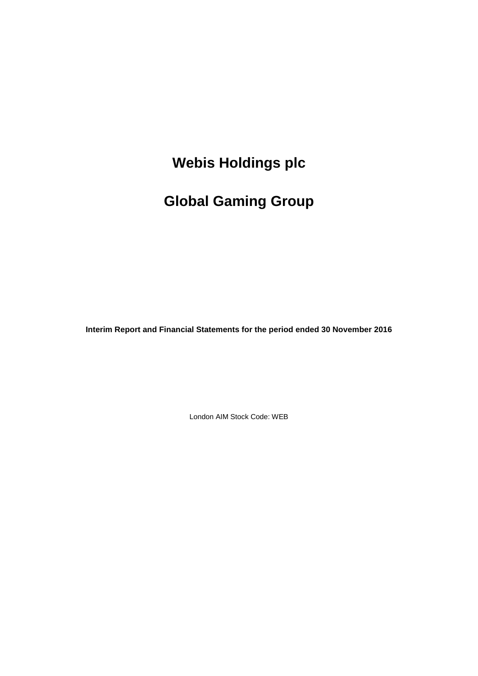# **Global Gaming Group**

**Interim Report and Financial Statements for the period ended 30 November 2016**

London AIM Stock Code: WEB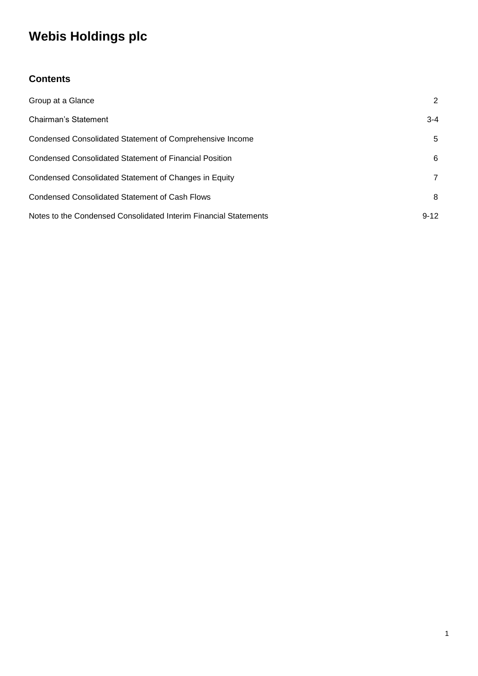### **Contents**

| Group at a Glance                                                | 2        |
|------------------------------------------------------------------|----------|
| Chairman's Statement                                             | $3 - 4$  |
| Condensed Consolidated Statement of Comprehensive Income         | 5        |
| Condensed Consolidated Statement of Financial Position           | 6        |
| Condensed Consolidated Statement of Changes in Equity            | 7        |
| <b>Condensed Consolidated Statement of Cash Flows</b>            | 8        |
| Notes to the Condensed Consolidated Interim Financial Statements | $9 - 12$ |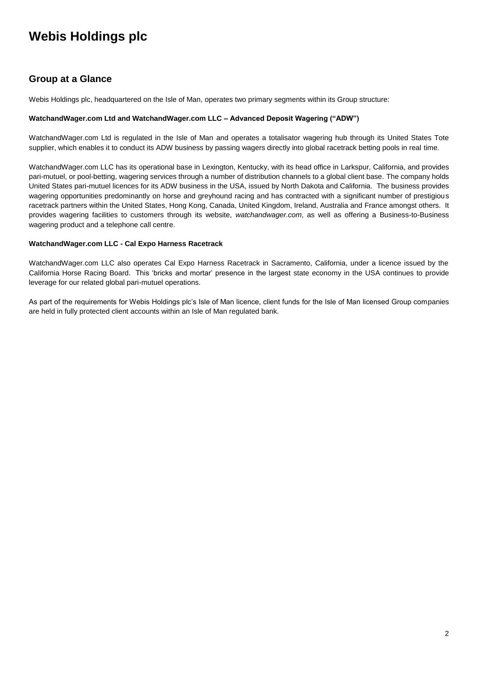### **Group at a Glance**

Webis Holdings plc, headquartered on the Isle of Man, operates two primary segments within its Group structure:

#### **WatchandWager.com Ltd and WatchandWager.com LLC – Advanced Deposit Wagering ("ADW")**

WatchandWager.com Ltd is regulated in the Isle of Man and operates a totalisator wagering hub through its United States Tote supplier, which enables it to conduct its ADW business by passing wagers directly into global racetrack betting pools in real time.

WatchandWager.com LLC has its operational base in Lexington, Kentucky, with its head office in Larkspur, California, and provides pari-mutuel, or pool-betting, wagering services through a number of distribution channels to a global client base. The company holds United States pari-mutuel licences for its ADW business in the USA, issued by North Dakota and California. The business provides wagering opportunities predominantly on horse and greyhound racing and has contracted with a significant number of prestigious racetrack partners within the United States, Hong Kong, Canada, United Kingdom, Ireland, Australia and France amongst others. It provides wagering facilities to customers through its website, *watchandwager.com*, as well as offering a Business-to-Business wagering product and a telephone call centre.

#### **WatchandWager.com LLC - Cal Expo Harness Racetrack**

WatchandWager.com LLC also operates Cal Expo Harness Racetrack in Sacramento, California, under a licence issued by the California Horse Racing Board. This 'bricks and mortar' presence in the largest state economy in the USA continues to provide leverage for our related global pari-mutuel operations.

As part of the requirements for Webis Holdings plc's Isle of Man licence, client funds for the Isle of Man licensed Group companies are held in fully protected client accounts within an Isle of Man regulated bank.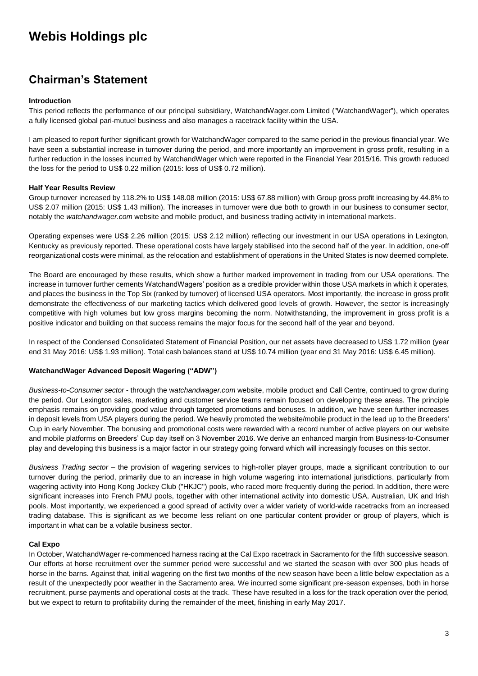### **Chairman's Statement**

#### **Introduction**

This period reflects the performance of our principal subsidiary, WatchandWager.com Limited ("WatchandWager"), which operates a fully licensed global pari-mutuel business and also manages a racetrack facility within the USA.

I am pleased to report further significant growth for WatchandWager compared to the same period in the previous financial year. We have seen a substantial increase in turnover during the period, and more importantly an improvement in gross profit, resulting in a further reduction in the losses incurred by WatchandWager which were reported in the Financial Year 2015/16. This growth reduced the loss for the period to US\$ 0.22 million (2015: loss of US\$ 0.72 million).

#### **Half Year Results Review**

Group turnover increased by 118.2% to US\$ 148.08 million (2015: US\$ 67.88 million) with Group gross profit increasing by 44.8% to US\$ 2.07 million (2015: US\$ 1.43 million). The increases in turnover were due both to growth in our business to consumer sector, notably the *watchandwager.com* website and mobile product, and business trading activity in international markets.

Operating expenses were US\$ 2.26 million (2015: US\$ 2.12 million) reflecting our investment in our USA operations in Lexington, Kentucky as previously reported. These operational costs have largely stabilised into the second half of the year. In addition, one-off reorganizational costs were minimal, as the relocation and establishment of operations in the United States is now deemed complete.

The Board are encouraged by these results, which show a further marked improvement in trading from our USA operations. The increase in turnover further cements WatchandWagers' position as a credible provider within those USA markets in which it operates, and places the business in the Top Six (ranked by turnover) of licensed USA operators. Most importantly, the increase in gross profit demonstrate the effectiveness of our marketing tactics which delivered good levels of growth. However, the sector is increasingly competitive with high volumes but low gross margins becoming the norm. Notwithstanding, the improvement in gross profit is a positive indicator and building on that success remains the major focus for the second half of the year and beyond.

In respect of the Condensed Consolidated Statement of Financial Position, our net assets have decreased to US\$ 1.72 million (year end 31 May 2016: US\$ 1.93 million). Total cash balances stand at US\$ 10.74 million (year end 31 May 2016: US\$ 6.45 million).

#### **WatchandWager Advanced Deposit Wagering ("ADW")**

*Business-to-Consumer sector* - through the w*atchandwager.com* website, mobile product and Call Centre, continued to grow during the period. Our Lexington sales, marketing and customer service teams remain focused on developing these areas. The principle emphasis remains on providing good value through targeted promotions and bonuses. In addition, we have seen further increases in deposit levels from USA players during the period. We heavily promoted the website/mobile product in the lead up to the Breeders' Cup in early November. The bonusing and promotional costs were rewarded with a record number of active players on our website and mobile platforms on Breeders' Cup day itself on 3 November 2016. We derive an enhanced margin from Business-to-Consumer play and developing this business is a major factor in our strategy going forward which will increasingly focuses on this sector.

*Business Trading sector* – the provision of wagering services to high-roller player groups, made a significant contribution to our turnover during the period, primarily due to an increase in high volume wagering into international jurisdictions, particularly from wagering activity into Hong Kong Jockey Club ("HKJC") pools, who raced more frequently during the period. In addition, there were significant increases into French PMU pools, together with other international activity into domestic USA, Australian, UK and Irish pools. Most importantly, we experienced a good spread of activity over a wider variety of world-wide racetracks from an increased trading database. This is significant as we become less reliant on one particular content provider or group of players, which is important in what can be a volatile business sector.

#### **Cal Expo**

In October, WatchandWager re-commenced harness racing at the Cal Expo racetrack in Sacramento for the fifth successive season. Our efforts at horse recruitment over the summer period were successful and we started the season with over 300 plus heads of horse in the barns. Against that, initial wagering on the first two months of the new season have been a little below expectation as a result of the unexpectedly poor weather in the Sacramento area. We incurred some significant pre-season expenses, both in horse recruitment, purse payments and operational costs at the track. These have resulted in a loss for the track operation over the period, but we expect to return to profitability during the remainder of the meet, finishing in early May 2017.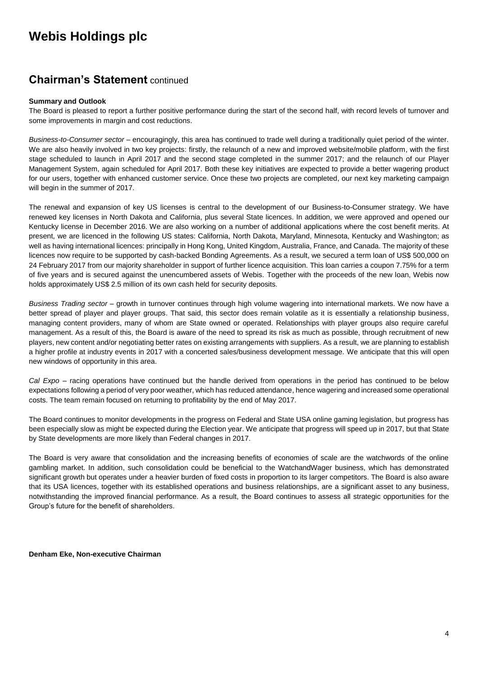### **Chairman's Statement** continued

#### **Summary and Outlook**

The Board is pleased to report a further positive performance during the start of the second half, with record levels of turnover and some improvements in margin and cost reductions.

*Business-to-Consumer sector* – encouragingly, this area has continued to trade well during a traditionally quiet period of the winter. We are also heavily involved in two key projects: firstly, the relaunch of a new and improved website/mobile platform, with the first stage scheduled to launch in April 2017 and the second stage completed in the summer 2017; and the relaunch of our Player Management System, again scheduled for April 2017. Both these key initiatives are expected to provide a better wagering product for our users, together with enhanced customer service. Once these two projects are completed, our next key marketing campaign will begin in the summer of 2017.

The renewal and expansion of key US licenses is central to the development of our Business-to-Consumer strategy. We have renewed key licenses in North Dakota and California, plus several State licences. In addition, we were approved and opened our Kentucky license in December 2016. We are also working on a number of additional applications where the cost benefit merits. At present, we are licenced in the following US states: California, North Dakota, Maryland, Minnesota, Kentucky and Washington; as well as having international licences: principally in Hong Kong, United Kingdom, Australia, France, and Canada. The majority of these licences now require to be supported by cash-backed Bonding Agreements. As a result, we secured a term loan of US\$ 500,000 on 24 February 2017 from our majority shareholder in support of further licence acquisition. This loan carries a coupon 7.75% for a term of five years and is secured against the unencumbered assets of Webis. Together with the proceeds of the new loan, Webis now holds approximately US\$ 2.5 million of its own cash held for security deposits.

*Business Trading sector* – growth in turnover continues through high volume wagering into international markets. We now have a better spread of player and player groups. That said, this sector does remain volatile as it is essentially a relationship business, managing content providers, many of whom are State owned or operated. Relationships with player groups also require careful management. As a result of this, the Board is aware of the need to spread its risk as much as possible, through recruitment of new players, new content and/or negotiating better rates on existing arrangements with suppliers. As a result, we are planning to establish a higher profile at industry events in 2017 with a concerted sales/business development message. We anticipate that this will open new windows of opportunity in this area.

*Cal Expo* – racing operations have continued but the handle derived from operations in the period has continued to be below expectations following a period of very poor weather, which has reduced attendance, hence wagering and increased some operational costs. The team remain focused on returning to profitability by the end of May 2017.

The Board continues to monitor developments in the progress on Federal and State USA online gaming legislation, but progress has been especially slow as might be expected during the Election year. We anticipate that progress will speed up in 2017, but that State by State developments are more likely than Federal changes in 2017.

The Board is very aware that consolidation and the increasing benefits of economies of scale are the watchwords of the online gambling market. In addition, such consolidation could be beneficial to the WatchandWager business, which has demonstrated significant growth but operates under a heavier burden of fixed costs in proportion to its larger competitors. The Board is also aware that its USA licences, together with its established operations and business relationships, are a significant asset to any business, notwithstanding the improved financial performance. As a result, the Board continues to assess all strategic opportunities for the Group's future for the benefit of shareholders.

**Denham Eke, Non-executive Chairman**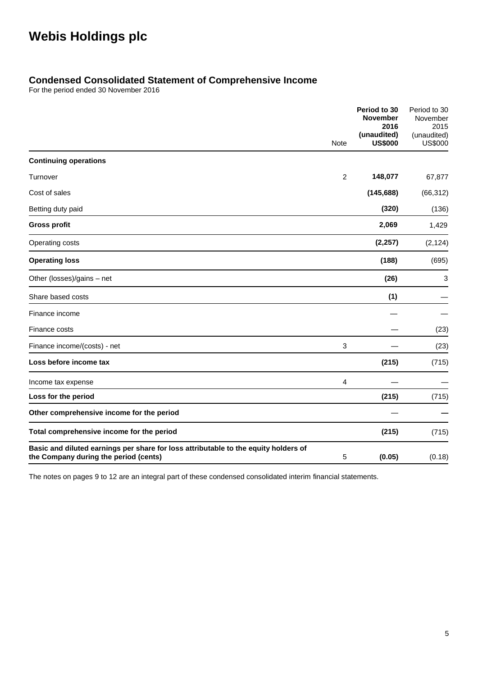### **Condensed Consolidated Statement of Comprehensive Income**

For the period ended 30 November 2016

|                                                                                                                              |                | Period to 30<br><b>November</b><br>2016 | Period to 30<br>November<br>2015 |
|------------------------------------------------------------------------------------------------------------------------------|----------------|-----------------------------------------|----------------------------------|
|                                                                                                                              | <b>Note</b>    | (unaudited)<br><b>US\$000</b>           | (unaudited)<br><b>US\$000</b>    |
| <b>Continuing operations</b>                                                                                                 |                |                                         |                                  |
| Turnover                                                                                                                     | $\overline{2}$ | 148,077                                 | 67,877                           |
| Cost of sales                                                                                                                |                | (145, 688)                              | (66, 312)                        |
| Betting duty paid                                                                                                            |                | (320)                                   | (136)                            |
| <b>Gross profit</b>                                                                                                          |                | 2,069                                   | 1,429                            |
| Operating costs                                                                                                              |                | (2, 257)                                | (2, 124)                         |
| <b>Operating loss</b>                                                                                                        |                | (188)                                   | (695)                            |
| Other (losses)/gains - net                                                                                                   |                | (26)                                    | 3                                |
| Share based costs                                                                                                            |                | (1)                                     |                                  |
| Finance income                                                                                                               |                |                                         |                                  |
| Finance costs                                                                                                                |                |                                         | (23)                             |
| Finance income/(costs) - net                                                                                                 | 3              |                                         | (23)                             |
| Loss before income tax                                                                                                       |                | (215)                                   | (715)                            |
| Income tax expense                                                                                                           | 4              |                                         |                                  |
| Loss for the period                                                                                                          |                | (215)                                   | (715)                            |
| Other comprehensive income for the period                                                                                    |                |                                         |                                  |
| Total comprehensive income for the period                                                                                    |                | (215)                                   | (715)                            |
| Basic and diluted earnings per share for loss attributable to the equity holders of<br>the Company during the period (cents) | 5              | (0.05)                                  | (0.18)                           |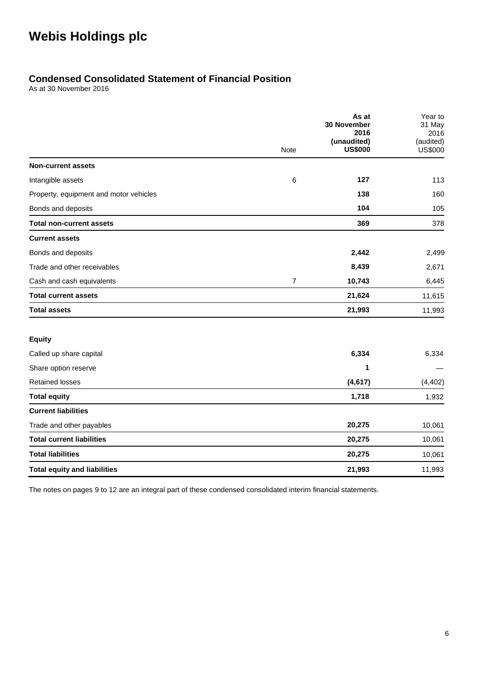### **Condensed Consolidated Statement of Financial Position**

As at 30 November 2016

|                                        |                | As at<br><b>30 November</b>   | Year to<br>31 May           |
|----------------------------------------|----------------|-------------------------------|-----------------------------|
|                                        |                | 2016                          | 2016                        |
|                                        | <b>Note</b>    | (unaudited)<br><b>US\$000</b> | (audited)<br><b>US\$000</b> |
| <b>Non-current assets</b>              |                |                               |                             |
| Intangible assets                      | 6              | 127                           | 113                         |
| Property, equipment and motor vehicles |                | 138                           | 160                         |
| Bonds and deposits                     |                | 104                           | 105                         |
| <b>Total non-current assets</b>        |                | 369                           | 378                         |
| <b>Current assets</b>                  |                |                               |                             |
| Bonds and deposits                     |                | 2,442                         | 2,499                       |
| Trade and other receivables            |                | 8,439                         | 2,671                       |
| Cash and cash equivalents              | $\overline{7}$ | 10,743                        | 6,445                       |
| <b>Total current assets</b>            |                | 21,624                        | 11,615                      |
| <b>Total assets</b>                    |                | 21,993                        | 11,993                      |
| <b>Equity</b>                          |                |                               |                             |
| Called up share capital                |                | 6,334                         | 6,334                       |
| Share option reserve                   |                | 1                             |                             |
| <b>Retained losses</b>                 |                | (4,617)                       | (4, 402)                    |
| <b>Total equity</b>                    |                | 1,718                         | 1,932                       |
| <b>Current liabilities</b>             |                |                               |                             |
| Trade and other payables               |                | 20,275                        | 10,061                      |
| <b>Total current liabilities</b>       |                | 20,275                        | 10,061                      |
| <b>Total liabilities</b>               |                | 20,275                        | 10,061                      |
| <b>Total equity and liabilities</b>    |                | 21,993                        | 11,993                      |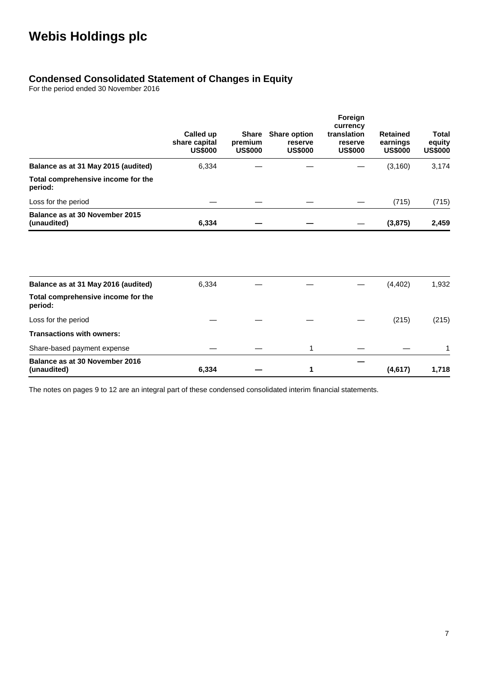### **Condensed Consolidated Statement of Changes in Equity**

For the period ended 30 November 2016

|                                                                                      | Called up<br>share capital<br><b>US\$000</b> | <b>Share</b><br>premium<br><b>US\$000</b> | <b>Share option</b><br>reserve<br><b>US\$000</b> | Foreign<br>currency<br>translation<br>reserve<br><b>US\$000</b> | <b>Retained</b><br>earnings<br><b>US\$000</b> | <b>Total</b><br>equity<br><b>US\$000</b> |
|--------------------------------------------------------------------------------------|----------------------------------------------|-------------------------------------------|--------------------------------------------------|-----------------------------------------------------------------|-----------------------------------------------|------------------------------------------|
| Balance as at 31 May 2015 (audited)                                                  | 6,334                                        |                                           |                                                  |                                                                 | (3, 160)                                      | 3,174                                    |
| Total comprehensive income for the<br>period:                                        |                                              |                                           |                                                  |                                                                 |                                               |                                          |
| Loss for the period                                                                  |                                              |                                           |                                                  |                                                                 | (715)                                         | (715)                                    |
| Balance as at 30 November 2015<br>(unaudited)                                        | 6,334                                        |                                           |                                                  |                                                                 | (3, 875)                                      | 2,459                                    |
|                                                                                      |                                              |                                           |                                                  |                                                                 |                                               |                                          |
| Balance as at 31 May 2016 (audited)<br>Total comprehensive income for the<br>period: | 6,334                                        |                                           |                                                  |                                                                 | (4, 402)                                      | 1,932                                    |
| Loss for the period                                                                  |                                              |                                           |                                                  |                                                                 | (215)                                         | (215)                                    |
| <b>Transactions with owners:</b>                                                     |                                              |                                           |                                                  |                                                                 |                                               |                                          |
| Share-based payment expense                                                          |                                              |                                           | 1                                                |                                                                 |                                               | 1                                        |
| Balance as at 30 November 2016<br>(unaudited)                                        | 6,334                                        |                                           | 1                                                |                                                                 | (4, 617)                                      | 1,718                                    |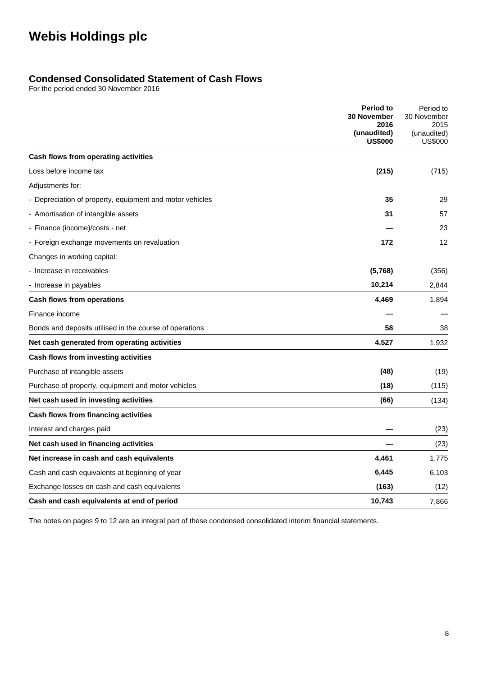### **Condensed Consolidated Statement of Cash Flows**

For the period ended 30 November 2016

|                                                          | <b>Period to</b><br><b>30 November</b> | Period to<br>30 November<br>2015<br>(unaudited)<br><b>US\$000</b> |
|----------------------------------------------------------|----------------------------------------|-------------------------------------------------------------------|
|                                                          | 2016<br>(unaudited)<br><b>US\$000</b>  |                                                                   |
| Cash flows from operating activities                     |                                        |                                                                   |
| Loss before income tax                                   | (215)                                  | (715)                                                             |
| Adjustments for:                                         |                                        |                                                                   |
| - Depreciation of property, equipment and motor vehicles | 35                                     | 29                                                                |
| - Amortisation of intangible assets                      | 31                                     | 57                                                                |
| - Finance (income)/costs - net                           |                                        | 23                                                                |
| - Foreign exchange movements on revaluation              | 172                                    | 12                                                                |
| Changes in working capital:                              |                                        |                                                                   |
| - Increase in receivables                                | (5,768)                                | (356)                                                             |
| - Increase in payables                                   | 10,214                                 | 2,844                                                             |
| Cash flows from operations                               | 4,469                                  | 1,894                                                             |
| Finance income                                           |                                        |                                                                   |
| Bonds and deposits utilised in the course of operations  | 58                                     | 38                                                                |
| Net cash generated from operating activities             | 4,527                                  | 1,932                                                             |
| Cash flows from investing activities                     |                                        |                                                                   |
| Purchase of intangible assets                            | (48)                                   | (19)                                                              |
| Purchase of property, equipment and motor vehicles       | (18)                                   | (115)                                                             |
| Net cash used in investing activities                    | (66)                                   | (134)                                                             |
| Cash flows from financing activities                     |                                        |                                                                   |
| Interest and charges paid                                |                                        | (23)                                                              |
| Net cash used in financing activities                    |                                        | (23)                                                              |
| Net increase in cash and cash equivalents                | 4,461                                  | 1,775                                                             |
| Cash and cash equivalents at beginning of year           | 6,445                                  | 6,103                                                             |
| Exchange losses on cash and cash equivalents             | (163)                                  | (12)                                                              |
| Cash and cash equivalents at end of period               | 10,743                                 | 7,866                                                             |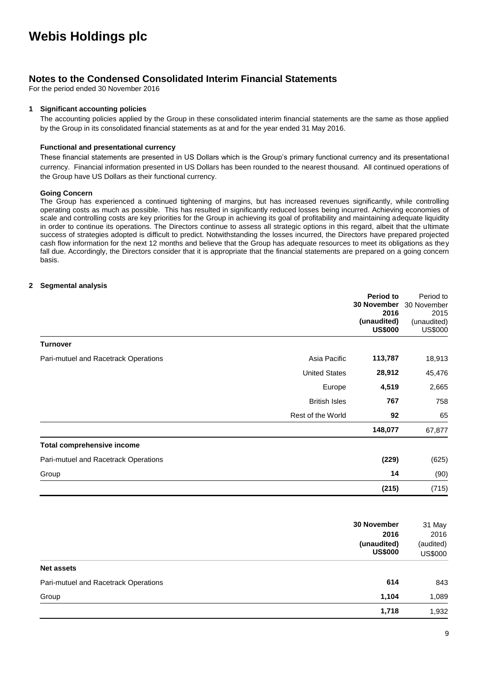### **Notes to the Condensed Consolidated Interim Financial Statements**

For the period ended 30 November 2016

#### **1 Significant accounting policies**

The accounting policies applied by the Group in these consolidated interim financial statements are the same as those applied by the Group in its consolidated financial statements as at and for the year ended 31 May 2016.

#### **Functional and presentational currency**

These financial statements are presented in US Dollars which is the Group's primary functional currency and its presentational currency. Financial information presented in US Dollars has been rounded to the nearest thousand. All continued operations of the Group have US Dollars as their functional currency.

#### **Going Concern**

The Group has experienced a continued tightening of margins, but has increased revenues significantly, while controlling operating costs as much as possible. This has resulted in significantly reduced losses being incurred. Achieving economies of scale and controlling costs are key priorities for the Group in achieving its goal of profitability and maintaining adequate liquidity in order to continue its operations. The Directors continue to assess all strategic options in this regard, albeit that the ultimate success of strategies adopted is difficult to predict. Notwithstanding the losses incurred, the Directors have prepared projected cash flow information for the next 12 months and believe that the Group has adequate resources to meet its obligations as they fall due. Accordingly, the Directors consider that it is appropriate that the financial statements are prepared on a going concern basis.

#### **2 Segmental analysis**

|                                      |                      | Period to      | Period to      |
|--------------------------------------|----------------------|----------------|----------------|
|                                      |                      | 30 November    | 30 November    |
|                                      |                      | 2016           | 2015           |
|                                      |                      | (unaudited)    | (unaudited)    |
|                                      |                      | <b>US\$000</b> | <b>US\$000</b> |
| <b>Turnover</b>                      |                      |                |                |
| Pari-mutuel and Racetrack Operations | Asia Pacific         | 113,787        | 18,913         |
|                                      | <b>United States</b> | 28,912         | 45,476         |
|                                      | Europe               | 4,519          | 2,665          |
|                                      | <b>British Isles</b> | 767            | 758            |
|                                      | Rest of the World    | 92             | 65             |
|                                      |                      | 148,077        | 67,877         |
| <b>Total comprehensive income</b>    |                      |                |                |
| Pari-mutuel and Racetrack Operations |                      | (229)          | (625)          |
| Group                                |                      | 14             | (90)           |
|                                      |                      | (215)          | (715)          |

| 30 November                                 | 31 May                      |
|---------------------------------------------|-----------------------------|
| 2016                                        | 2016                        |
| (unaudited)<br><b>US\$000</b>               | (audited)<br><b>US\$000</b> |
| Net assets                                  |                             |
| 614<br>Pari-mutuel and Racetrack Operations | 843                         |
| Group<br>1,104                              | 1,089                       |
| 1,718                                       | 1,932                       |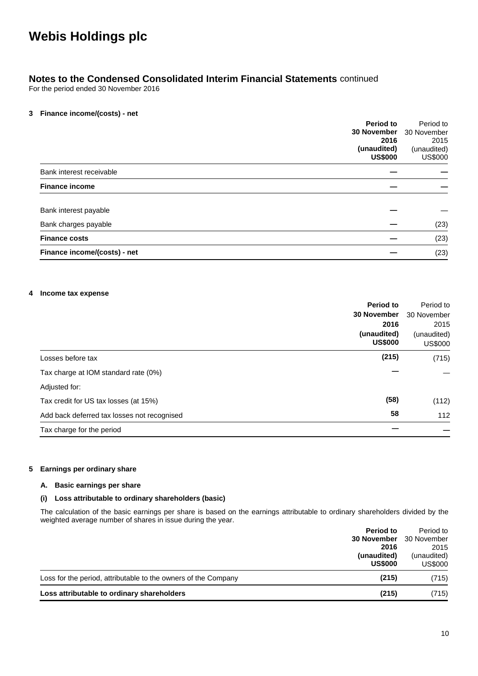### **Notes to the Condensed Consolidated Interim Financial Statements** continued

For the period ended 30 November 2016

#### **3 Finance income/(costs) - net**

| <b>Period to</b>             |                | Period to      |
|------------------------------|----------------|----------------|
| 30 November                  |                | 30 November    |
|                              | 2016           | 2015           |
| (unaudited)                  |                | (unaudited)    |
|                              | <b>US\$000</b> | <b>US\$000</b> |
| Bank interest receivable     |                |                |
| <b>Finance income</b>        |                |                |
| Bank interest payable        |                |                |
| Bank charges payable         |                | (23)           |
| <b>Finance costs</b>         |                | (23)           |
| Finance income/(costs) - net |                | (23)           |

#### **4 Income tax expense**

| <b>Period to</b>                            |       | Period to                     |
|---------------------------------------------|-------|-------------------------------|
| <b>30 November</b>                          |       | 30 November                   |
|                                             | 2016  | 2015                          |
| (unaudited)<br><b>US\$000</b>               |       | (unaudited)<br><b>US\$000</b> |
| Losses before tax                           | (215) | (715)                         |
| Tax charge at IOM standard rate (0%)        |       |                               |
| Adjusted for:                               |       |                               |
| Tax credit for US tax losses (at 15%)       | (58)  | (112)                         |
| Add back deferred tax losses not recognised | 58    | 112                           |
| Tax charge for the period                   |       |                               |

#### **5 Earnings per ordinary share**

#### **A. Basic earnings per share**

#### **(i) Loss attributable to ordinary shareholders (basic)**

The calculation of the basic earnings per share is based on the earnings attributable to ordinary shareholders divided by the weighted average number of shares in issue during the year.

|                                                                | Period to          | Period to      |
|----------------------------------------------------------------|--------------------|----------------|
|                                                                | <b>30 November</b> | 30 November    |
|                                                                | 2016               | 2015           |
|                                                                | (unaudited)        | (unaudited)    |
|                                                                | <b>US\$000</b>     | <b>US\$000</b> |
| Loss for the period, attributable to the owners of the Company | (215)              | (715)          |
| Loss attributable to ordinary shareholders                     | (215)              | (715)          |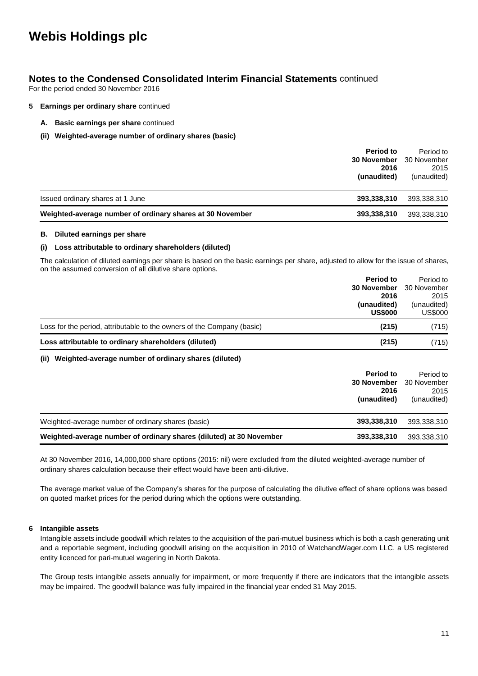### **Notes to the Condensed Consolidated Interim Financial Statements** continued

For the period ended 30 November 2016

#### **5 Earnings per ordinary share** continued

- **A. Basic earnings per share** continued
- **(ii) Weighted-average number of ordinary shares (basic)**

| Period to<br><b>30 November</b><br>2016<br>(unaudited)                   | Period to<br>30 November<br>2015<br>(unaudited) |
|--------------------------------------------------------------------------|-------------------------------------------------|
| Issued ordinary shares at 1 June<br>393,338,310                          | 393,338,310                                     |
| Weighted-average number of ordinary shares at 30 November<br>393,338,310 | 393,338,310                                     |

#### **B. Diluted earnings per share**

#### **(i) Loss attributable to ordinary shareholders (diluted)**

The calculation of diluted earnings per share is based on the basic earnings per share, adjusted to allow for the issue of shares, on the assumed conversion of all dilutive share options.

|                                                                        | Period to                     | Period to                     |
|------------------------------------------------------------------------|-------------------------------|-------------------------------|
|                                                                        | <b>30 November</b>            | 30 November                   |
|                                                                        | 2016                          | 2015                          |
|                                                                        | (unaudited)<br><b>US\$000</b> | (unaudited)<br><b>US\$000</b> |
|                                                                        |                               |                               |
| Loss for the period, attributable to the owners of the Company (basic) | (215)                         | (715)                         |
| Loss attributable to ordinary shareholders (diluted)                   | (215)                         | (715)                         |
| Weighted-average number of ordinary shares (diluted)<br>(ii)           |                               |                               |

|                                                                     | Period to<br><b>30 November</b><br>2016<br>(unaudited) | Period to<br>30 November<br>2015<br>(unaudited) |
|---------------------------------------------------------------------|--------------------------------------------------------|-------------------------------------------------|
| Weighted-average number of ordinary shares (basic)                  | 393,338,310                                            | 393,338,310                                     |
| Weighted-average number of ordinary shares (diluted) at 30 November | 393,338,310                                            | 393,338,310                                     |

At 30 November 2016, 14,000,000 share options (2015: nil) were excluded from the diluted weighted-average number of ordinary shares calculation because their effect would have been anti-dilutive.

The average market value of the Company's shares for the purpose of calculating the dilutive effect of share options was based on quoted market prices for the period during which the options were outstanding.

#### **6 Intangible assets**

Intangible assets include goodwill which relates to the acquisition of the pari-mutuel business which is both a cash generating unit and a reportable segment, including goodwill arising on the acquisition in 2010 of WatchandWager.com LLC, a US registered entity licenced for pari-mutuel wagering in North Dakota.

The Group tests intangible assets annually for impairment, or more frequently if there are indicators that the intangible assets may be impaired. The goodwill balance was fully impaired in the financial year ended 31 May 2015.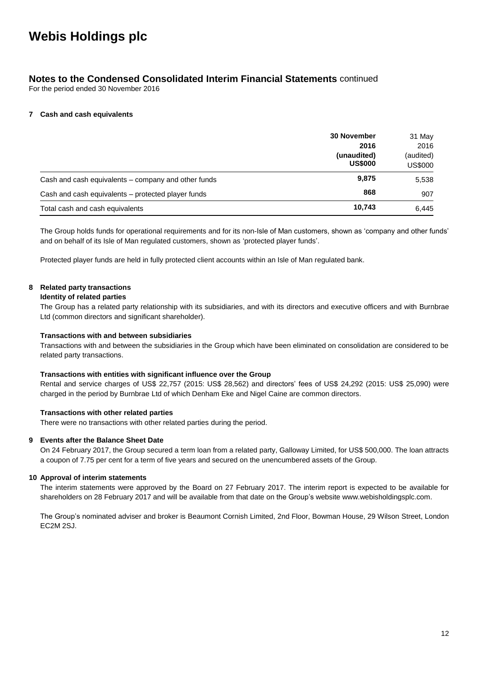### **Notes to the Condensed Consolidated Interim Financial Statements** continued

For the period ended 30 November 2016

#### **7 Cash and cash equivalents**

|                                                     | <b>30 November</b> | 31 May    |
|-----------------------------------------------------|--------------------|-----------|
|                                                     | 2016               | 2016      |
|                                                     | (unaudited)        | (audited) |
|                                                     | <b>US\$000</b>     | US\$000   |
| Cash and cash equivalents – company and other funds | 9,875              | 5,538     |
| Cash and cash equivalents - protected player funds  | 868                | 907       |
| Total cash and cash equivalents                     | 10,743             | 6.445     |

The Group holds funds for operational requirements and for its non-Isle of Man customers, shown as 'company and other funds' and on behalf of its Isle of Man regulated customers, shown as 'protected player funds'.

Protected player funds are held in fully protected client accounts within an Isle of Man regulated bank.

#### **8 Related party transactions**

#### **Identity of related parties**

The Group has a related party relationship with its subsidiaries, and with its directors and executive officers and with Burnbrae Ltd (common directors and significant shareholder).

#### **Transactions with and between subsidiaries**

Transactions with and between the subsidiaries in the Group which have been eliminated on consolidation are considered to be related party transactions.

#### **Transactions with entities with significant influence over the Group**

Rental and service charges of US\$ 22,757 (2015: US\$ 28,562) and directors' fees of US\$ 24,292 (2015: US\$ 25,090) were charged in the period by Burnbrae Ltd of which Denham Eke and Nigel Caine are common directors.

#### **Transactions with other related parties**

There were no transactions with other related parties during the period.

#### **9 Events after the Balance Sheet Date**

On 24 February 2017, the Group secured a term loan from a related party, Galloway Limited, for US\$ 500,000. The loan attracts a coupon of 7.75 per cent for a term of five years and secured on the unencumbered assets of the Group.

#### **10 Approval of interim statements**

The interim statements were approved by the Board on 27 February 2017. The interim report is expected to be available for shareholders on 28 February 2017 and will be available from that date on the Group's website www.webisholdingsplc.com.

The Group's nominated adviser and broker is Beaumont Cornish Limited, 2nd Floor, Bowman House, 29 Wilson Street, London EC2M 2SJ.